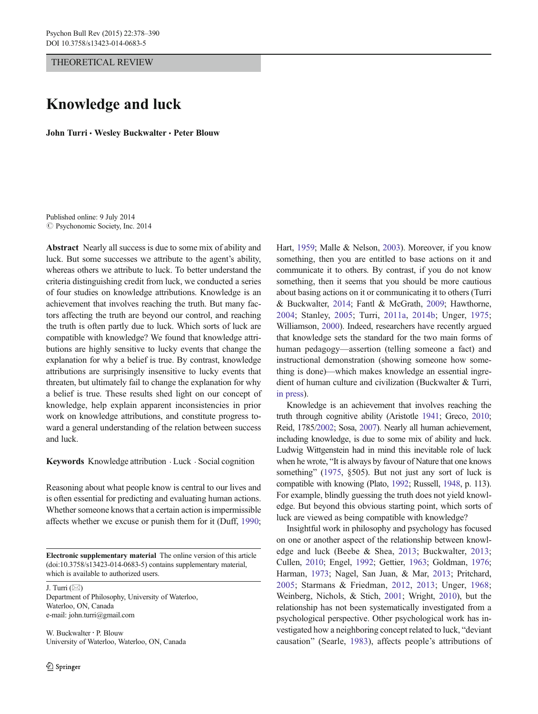THEORETICAL REVIEW

# Knowledge and luck

John Turri · Wesley Buckwalter · Peter Blouw

Published online: 9 July 2014  $\oslash$  Psychonomic Society, Inc. 2014

Abstract Nearly all success is due to some mix of ability and luck. But some successes we attribute to the agent's ability, whereas others we attribute to luck. To better understand the criteria distinguishing credit from luck, we conducted a series of four studies on knowledge attributions. Knowledge is an achievement that involves reaching the truth. But many factors affecting the truth are beyond our control, and reaching the truth is often partly due to luck. Which sorts of luck are compatible with knowledge? We found that knowledge attributions are highly sensitive to lucky events that change the explanation for why a belief is true. By contrast, knowledge attributions are surprisingly insensitive to lucky events that threaten, but ultimately fail to change the explanation for why a belief is true. These results shed light on our concept of knowledge, help explain apparent inconsistencies in prior work on knowledge attributions, and constitute progress toward a general understanding of the relation between success and luck.

Keywords Knowledge attribution . Luck . Social cognition

Reasoning about what people know is central to our lives and is often essential for predicting and evaluating human actions. Whether someone knows that a certain action is impermissible affects whether we excuse or punish them for it (Duff, [1990](#page-11-0);

Electronic supplementary material The online version of this article (doi[:10.3758/s13423-014-0683-5](http://dx.doi.org/10.3758/s13423-014-0683-5)) contains supplementary material, which is available to authorized users.

J. Turri  $(\boxtimes)$ Department of Philosophy, University of Waterloo, Waterloo, ON, Canada e-mail: john.turri@gmail.com

W. Buckwalter : P. Blouw University of Waterloo, Waterloo, ON, Canada Hart, [1959](#page-11-0); Malle & Nelson, [2003](#page-11-0)). Moreover, if you know something, then you are entitled to base actions on it and communicate it to others. By contrast, if you do not know something, then it seems that you should be more cautious about basing actions on it or communicating it to others (Turri & Buckwalter, [2014](#page-11-0); Fantl & McGrath, [2009;](#page-11-0) Hawthorne, [2004](#page-11-0); Stanley, [2005;](#page-11-0) Turri, [2011a,](#page-11-0) [2014b](#page-11-0); Unger, [1975;](#page-11-0) Williamson, [2000\)](#page-12-0). Indeed, researchers have recently argued that knowledge sets the standard for the two main forms of human pedagogy—assertion (telling someone a fact) and instructional demonstration (showing someone how something is done)—which makes knowledge an essential ingredient of human culture and civilization (Buckwalter & Turri, [in press](#page-10-0)).

Knowledge is an achievement that involves reaching the truth through cognitive ability (Aristotle [1941](#page-10-0); Greco, [2010;](#page-11-0) Reid, 1785/[2002;](#page-11-0) Sosa, [2007](#page-11-0)). Nearly all human achievement, including knowledge, is due to some mix of ability and luck. Ludwig Wittgenstein had in mind this inevitable role of luck when he wrote, "It is always by favour of Nature that one knows something" [\(1975,](#page-12-0) §505). But not just any sort of luck is compatible with knowing (Plato, [1992;](#page-11-0) Russell, [1948,](#page-11-0) p. 113). For example, blindly guessing the truth does not yield knowledge. But beyond this obvious starting point, which sorts of luck are viewed as being compatible with knowledge?

Insightful work in philosophy and psychology has focused on one or another aspect of the relationship between knowledge and luck (Beebe & Shea, [2013](#page-10-0); Buckwalter, [2013;](#page-10-0) Cullen, [2010](#page-10-0); Engel, [1992](#page-11-0); Gettier, [1963;](#page-11-0) Goldman, [1976;](#page-11-0) Harman, [1973](#page-11-0); Nagel, San Juan, & Mar, [2013](#page-11-0); Pritchard, [2005;](#page-11-0) Starmans & Friedman, [2012](#page-11-0), [2013;](#page-11-0) Unger, [1968;](#page-11-0) Weinberg, Nichols, & Stich, [2001](#page-12-0); Wright, [2010\)](#page-12-0), but the relationship has not been systematically investigated from a psychological perspective. Other psychological work has investigated how a neighboring concept related to luck, "deviant causation" (Searle, [1983\)](#page-11-0), affects people's attributions of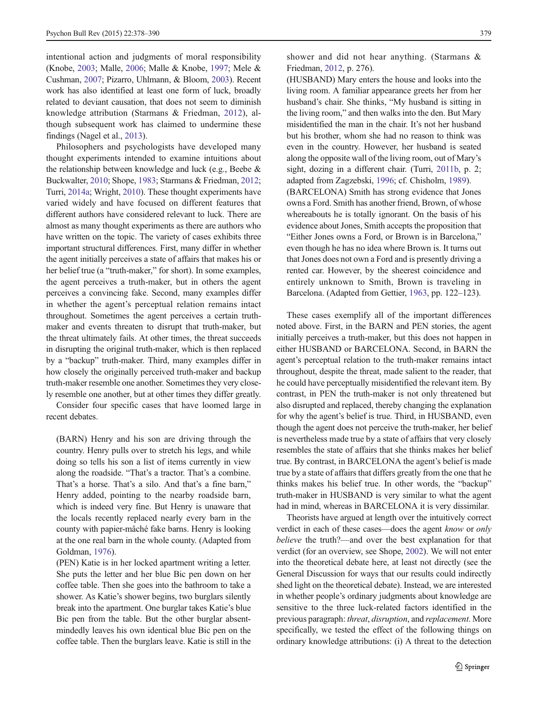intentional action and judgments of moral responsibility (Knobe, [2003](#page-11-0); Malle, [2006;](#page-11-0) Malle & Knobe, [1997;](#page-11-0) Mele & Cushman, [2007;](#page-11-0) Pizarro, Uhlmann, & Bloom, [2003\)](#page-11-0). Recent work has also identified at least one form of luck, broadly related to deviant causation, that does not seem to diminish knowledge attribution (Starmans & Friedman, [2012](#page-11-0)), although subsequent work has claimed to undermine these findings (Nagel et al., [2013\)](#page-11-0).

Philosophers and psychologists have developed many thought experiments intended to examine intuitions about the relationship between knowledge and luck (e.g., Beebe & Buckwalter, [2010](#page-10-0); Shope, [1983;](#page-11-0) Starmans & Friedman, [2012](#page-11-0); Turri, [2014a](#page-11-0); Wright, [2010\)](#page-12-0). These thought experiments have varied widely and have focused on different features that different authors have considered relevant to luck. There are almost as many thought experiments as there are authors who have written on the topic. The variety of cases exhibits three important structural differences. First, many differ in whether the agent initially perceives a state of affairs that makes his or her belief true (a "truth-maker," for short). In some examples, the agent perceives a truth-maker, but in others the agent perceives a convincing fake. Second, many examples differ in whether the agent's perceptual relation remains intact throughout. Sometimes the agent perceives a certain truthmaker and events threaten to disrupt that truth-maker, but the threat ultimately fails. At other times, the threat succeeds in disrupting the original truth-maker, which is then replaced by a "backup" truth-maker. Third, many examples differ in how closely the originally perceived truth-maker and backup truth-maker resemble one another. Sometimes they very closely resemble one another, but at other times they differ greatly.

Consider four specific cases that have loomed large in recent debates.

(BARN) Henry and his son are driving through the country. Henry pulls over to stretch his legs, and while doing so tells his son a list of items currently in view along the roadside. "That's a tractor. That's a combine. That's a horse. That's a silo. And that's a fine barn," Henry added, pointing to the nearby roadside barn, which is indeed very fine. But Henry is unaware that the locals recently replaced nearly every barn in the county with papier-mâché fake barns. Henry is looking at the one real barn in the whole county. (Adapted from Goldman, [1976](#page-11-0)).

(PEN) Katie is in her locked apartment writing a letter. She puts the letter and her blue Bic pen down on her coffee table. Then she goes into the bathroom to take a shower. As Katie's shower begins, two burglars silently break into the apartment. One burglar takes Katie's blue Bic pen from the table. But the other burglar absentmindedly leaves his own identical blue Bic pen on the coffee table. Then the burglars leave. Katie is still in the shower and did not hear anything. (Starmans & Friedman, [2012](#page-11-0), p. 276).

(HUSBAND) Mary enters the house and looks into the living room. A familiar appearance greets her from her husband's chair. She thinks, "My husband is sitting in the living room," and then walks into the den. But Mary misidentified the man in the chair. It's not her husband but his brother, whom she had no reason to think was even in the country. However, her husband is seated along the opposite wall of the living room, out of Mary's sight, dozing in a different chair. (Turri, [2011b,](#page-11-0) p. 2; adapted from Zagzebski, [1996](#page-12-0); cf. Chisholm, [1989](#page-10-0)). (BARCELONA) Smith has strong evidence that Jones owns a Ford. Smith has another friend, Brown, of whose whereabouts he is totally ignorant. On the basis of his evidence about Jones, Smith accepts the proposition that "Either Jones owns a Ford, or Brown is in Barcelona," even though he has no idea where Brown is. It turns out that Jones does not own a Ford and is presently driving a rented car. However, by the sheerest coincidence and entirely unknown to Smith, Brown is traveling in Barcelona. (Adapted from Gettier, [1963,](#page-11-0) pp. 122–123).

These cases exemplify all of the important differences noted above. First, in the BARN and PEN stories, the agent initially perceives a truth-maker, but this does not happen in either HUSBAND or BARCELONA. Second, in BARN the agent's perceptual relation to the truth-maker remains intact throughout, despite the threat, made salient to the reader, that he could have perceptually misidentified the relevant item. By contrast, in PEN the truth-maker is not only threatened but also disrupted and replaced, thereby changing the explanation for why the agent's belief is true. Third, in HUSBAND, even though the agent does not perceive the truth-maker, her belief is nevertheless made true by a state of affairs that very closely resembles the state of affairs that she thinks makes her belief true. By contrast, in BARCELONA the agent's belief is made true by a state of affairs that differs greatly from the one that he thinks makes his belief true. In other words, the "backup" truth-maker in HUSBAND is very similar to what the agent had in mind, whereas in BARCELONA it is very dissimilar.

Theorists have argued at length over the intuitively correct verdict in each of these cases—does the agent know or only believe the truth?—and over the best explanation for that verdict (for an overview, see Shope, [2002\)](#page-11-0). We will not enter into the theoretical debate here, at least not directly (see the General Discussion for ways that our results could indirectly shed light on the theoretical debate). Instead, we are interested in whether people's ordinary judgments about knowledge are sensitive to the three luck-related factors identified in the previous paragraph: threat, disruption, and replacement. More specifically, we tested the effect of the following things on ordinary knowledge attributions: (i) A threat to the detection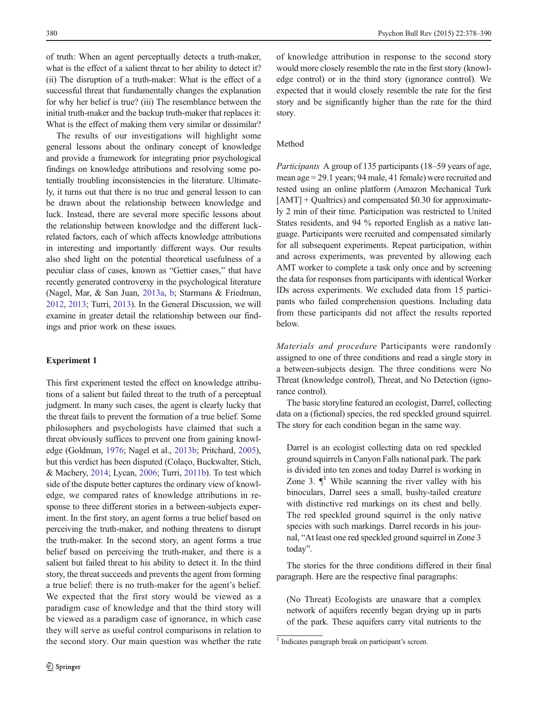<span id="page-2-0"></span>of truth: When an agent perceptually detects a truth-maker, what is the effect of a salient threat to her ability to detect it? (ii) The disruption of a truth-maker: What is the effect of a successful threat that fundamentally changes the explanation for why her belief is true? (iii) The resemblance between the initial truth-maker and the backup truth-maker that replaces it: What is the effect of making them very similar or dissimilar?

The results of our investigations will highlight some general lessons about the ordinary concept of knowledge and provide a framework for integrating prior psychological findings on knowledge attributions and resolving some potentially troubling inconsistencies in the literature. Ultimately, it turns out that there is no true and general lesson to can be drawn about the relationship between knowledge and luck. Instead, there are several more specific lessons about the relationship between knowledge and the different luckrelated factors, each of which affects knowledge attributions in interesting and importantly different ways. Our results also shed light on the potential theoretical usefulness of a peculiar class of cases, known as "Gettier cases," that have recently generated controversy in the psychological literature (Nagel, Mar, & San Juan, [2013a,](#page-11-0) [b;](#page-11-0) Starmans & Friedman, [2012,](#page-11-0) [2013](#page-11-0); Turri, [2013](#page-11-0)). In the General Discussion, we will examine in greater detail the relationship between our findings and prior work on these issues.

# Experiment 1

This first experiment tested the effect on knowledge attributions of a salient but failed threat to the truth of a perceptual judgment. In many such cases, the agent is clearly lucky that the threat fails to prevent the formation of a true belief. Some philosophers and psychologists have claimed that such a threat obviously suffices to prevent one from gaining knowledge (Goldman, [1976;](#page-11-0) Nagel et al., [2013b;](#page-11-0) Pritchard, [2005\)](#page-11-0), but this verdict has been disputed (Colaço, Buckwalter, Stich, & Machery, [2014](#page-10-0); Lycan, [2006;](#page-11-0) Turri, [2011b\)](#page-11-0). To test which side of the dispute better captures the ordinary view of knowledge, we compared rates of knowledge attributions in response to three different stories in a between-subjects experiment. In the first story, an agent forms a true belief based on perceiving the truth-maker, and nothing threatens to disrupt the truth-maker. In the second story, an agent forms a true belief based on perceiving the truth-maker, and there is a salient but failed threat to his ability to detect it. In the third story, the threat succeeds and prevents the agent from forming a true belief: there is no truth-maker for the agent's belief. We expected that the first story would be viewed as a paradigm case of knowledge and that the third story will be viewed as a paradigm case of ignorance, in which case they will serve as useful control comparisons in relation to the second story. Our main question was whether the rate of knowledge attribution in response to the second story would more closely resemble the rate in the first story (knowledge control) or in the third story (ignorance control). We expected that it would closely resemble the rate for the first story and be significantly higher than the rate for the third story.

#### Method

Participants A group of 135 participants (18–59 years of age, mean age = 29.1 years; 94 male, 41 female) were recruited and tested using an online platform (Amazon Mechanical Turk [AMT] + Qualtrics) and compensated \$0.30 for approximately 2 min of their time. Participation was restricted to United States residents, and 94 % reported English as a native language. Participants were recruited and compensated similarly for all subsequent experiments. Repeat participation, within and across experiments, was prevented by allowing each AMT worker to complete a task only once and by screening the data for responses from participants with identical Worker IDs across experiments. We excluded data from 15 participants who failed comprehension questions. Including data from these participants did not affect the results reported below.

Materials and procedure Participants were randomly assigned to one of three conditions and read a single story in a between-subjects design. The three conditions were No Threat (knowledge control), Threat, and No Detection (ignorance control).

The basic storyline featured an ecologist, Darrel, collecting data on a (fictional) species, the red speckled ground squirrel. The story for each condition began in the same way.

Darrel is an ecologist collecting data on red speckled ground squirrels in Canyon Falls national park. The park is divided into ten zones and today Darrel is working in Zone 3.  $\P^1$  While scanning the river valley with his binoculars, Darrel sees a small, bushy-tailed creature with distinctive red markings on its chest and belly. The red speckled ground squirrel is the only native species with such markings. Darrel records in his journal, "At least one red speckled ground squirrel in Zone 3 today".

The stories for the three conditions differed in their final paragraph. Here are the respective final paragraphs:

(No Threat) Ecologists are unaware that a complex network of aquifers recently began drying up in parts of the park. These aquifers carry vital nutrients to the

<sup>&</sup>lt;sup>1</sup> Indicates paragraph break on participant's screen.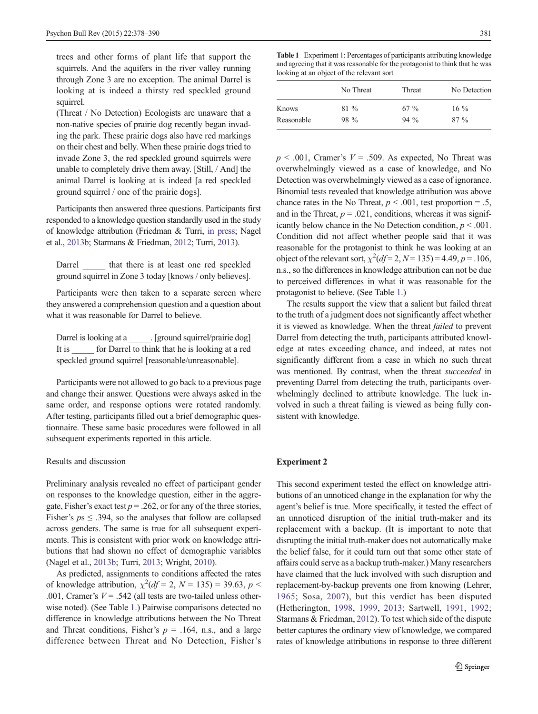<span id="page-3-0"></span>trees and other forms of plant life that support the squirrels. And the aquifers in the river valley running through Zone 3 are no exception. The animal Darrel is looking at is indeed a thirsty red speckled ground squirrel.

(Threat / No Detection) Ecologists are unaware that a non-native species of prairie dog recently began invading the park. These prairie dogs also have red markings on their chest and belly. When these prairie dogs tried to invade Zone 3, the red speckled ground squirrels were unable to completely drive them away. [Still, / And] the animal Darrel is looking at is indeed [a red speckled ground squirrel / one of the prairie dogs].

Participants then answered three questions. Participants first responded to a knowledge question standardly used in the study of knowledge attribution (Friedman & Turri, [in press](#page-11-0); Nagel et al., [2013b](#page-11-0); Starmans & Friedman, [2012;](#page-11-0) Turri, [2013](#page-11-0)).

Darrel that there is at least one red speckled ground squirrel in Zone 3 today [knows / only believes].

Participants were then taken to a separate screen where they answered a comprehension question and a question about what it was reasonable for Darrel to believe.

Darrel is looking at a \_\_\_\_\_\_. [ground squirrel/prairie dog] It is for Darrel to think that he is looking at a red speckled ground squirrel [reasonable/unreasonable].

Participants were not allowed to go back to a previous page and change their answer. Questions were always asked in the same order, and response options were rotated randomly. After testing, participants filled out a brief demographic questionnaire. These same basic procedures were followed in all subsequent experiments reported in this article.

# Results and discussion

Preliminary analysis revealed no effect of participant gender on responses to the knowledge question, either in the aggregate, Fisher's exact test  $p = .262$ , or for any of the three stories, Fisher's  $ps \leq 0.394$ , so the analyses that follow are collapsed across genders. The same is true for all subsequent experiments. This is consistent with prior work on knowledge attributions that had shown no effect of demographic variables (Nagel et al., [2013b](#page-11-0); Turri, [2013;](#page-11-0) Wright, [2010\)](#page-12-0).

As predicted, assignments to conditions affected the rates of knowledge attribution,  $\chi^2(df = 2, N = 135) = 39.63, p <$ .001, Cramer's  $V = .542$  (all tests are two-tailed unless otherwise noted). (See Table 1.) Pairwise comparisons detected no difference in knowledge attributions between the No Threat and Threat conditions, Fisher's  $p = .164$ , n.s., and a large difference between Threat and No Detection, Fisher's

Table 1 Experiment [1](#page-2-0): Percentages of participants attributing knowledge and agreeing that it was reasonable for the protagonist to think that he was looking at an object of the relevant sort

|            | No Threat | Threat | No Detection |
|------------|-----------|--------|--------------|
| Knows      | $81\%$    | $67\%$ | $16\%$       |
| Reasonable | $98\%$    | $94\%$ | $87\%$       |

 $p < .001$ , Cramer's  $V = .509$ . As expected, No Threat was overwhelmingly viewed as a case of knowledge, and No Detection was overwhelmingly viewed as a case of ignorance. Binomial tests revealed that knowledge attribution was above chance rates in the No Threat,  $p < .001$ , test proportion = .5, and in the Threat,  $p = .021$ , conditions, whereas it was significantly below chance in the No Detection condition,  $p < .001$ . Condition did not affect whether people said that it was reasonable for the protagonist to think he was looking at an object of the relevant sort,  $\chi^2(df=2, N=135) = 4.49, p = .106,$ n.s., so the differences in knowledge attribution can not be due to perceived differences in what it was reasonable for the protagonist to believe. (See Table 1.)

The results support the view that a salient but failed threat to the truth of a judgment does not significantly affect whether it is viewed as knowledge. When the threat failed to prevent Darrel from detecting the truth, participants attributed knowledge at rates exceeding chance, and indeed, at rates not significantly different from a case in which no such threat was mentioned. By contrast, when the threat succeeded in preventing Darrel from detecting the truth, participants overwhelmingly declined to attribute knowledge. The luck involved in such a threat failing is viewed as being fully consistent with knowledge.

# Experiment 2

This second experiment tested the effect on knowledge attributions of an unnoticed change in the explanation for why the agent's belief is true. More specifically, it tested the effect of an unnoticed disruption of the initial truth-maker and its replacement with a backup. (It is important to note that disrupting the initial truth-maker does not automatically make the belief false, for it could turn out that some other state of affairs could serve as a backup truth-maker.) Many researchers have claimed that the luck involved with such disruption and replacement-by-backup prevents one from knowing (Lehrer, [1965](#page-11-0); Sosa, [2007](#page-11-0)), but this verdict has been disputed (Hetherington, [1998,](#page-11-0) [1999](#page-11-0), [2013;](#page-11-0) Sartwell, [1991](#page-11-0), [1992;](#page-11-0) Starmans & Friedman, [2012\)](#page-11-0). To test which side of the dispute better captures the ordinary view of knowledge, we compared rates of knowledge attributions in response to three different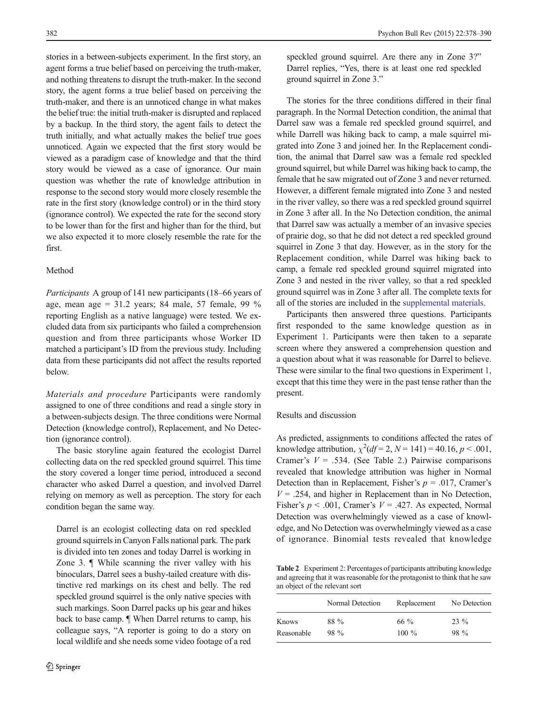<span id="page-4-0"></span>stories in a between-subjects experiment. In the first story, an agent forms a true belief based on perceiving the truth-maker, and nothing threatens to disrupt the truth-maker. In the second story, the agent forms a true belief based on perceiving the truth-maker, and there is an unnoticed change in what makes the belief true: the initial truth-maker is disrupted and replaced by a backup. In the third story, the agent fails to detect the truth initially, and what actually makes the belief true goes unnoticed. Again we expected that the first story would be viewed as a paradigm case of knowledge and that the third story would be viewed as a case of ignorance. Our main question was whether the rate of knowledge attribution in response to the second story would more closely resemble the rate in the first story (knowledge control) or in the third story (ignorance control). We expected the rate for the second story to be lower than for the first and higher than for the third, but we also expected it to more closely resemble the rate for the first.

# Method

Participants A group of 141 new participants (18–66 years of age, mean age =  $31.2$  years; 84 male, 57 female, 99 % reporting English as a native language) were tested. We excluded data from six participants who failed a comprehension question and from three participants whose Worker ID matched a participant's ID from the previous study. Including data from these participants did not affect the results reported below.

Materials and procedure Participants were randomly assigned to one of three conditions and read a single story in a between-subjects design. The three conditions were Normal Detection (knowledge control), Replacement, and No Detection (ignorance control).

The basic storyline again featured the ecologist Darrel collecting data on the red speckled ground squirrel. This time the story covered a longer time period, introduced a second character who asked Darrel a question, and involved Darrel relying on memory as well as perception. The story for each condition began the same way.

Darrel is an ecologist collecting data on red speckled ground squirrels in Canyon Falls national park. The park is divided into ten zones and today Darrel is working in Zone 3. ¶ While scanning the river valley with his binoculars, Darrel sees a bushy-tailed creature with distinctive red markings on its chest and belly. The red speckled ground squirrel is the only native species with such markings. Soon Darrel packs up his gear and hikes back to base camp. ¶ When Darrel returns to camp, his colleague says, "A reporter is going to do a story on local wildlife and she needs some video footage of a red

speckled ground squirrel. Are there any in Zone 3?" Darrel replies, "Yes, there is at least one red speckled ground squirrel in Zone 3."

The stories for the three conditions differed in their final paragraph. In the Normal Detection condition, the animal that Darrel saw was a female red speckled ground squirrel, and while Darrell was hiking back to camp, a male squirrel migrated into Zone 3 and joined her. In the Replacement condition, the animal that Darrel saw was a female red speckled ground squirrel, but while Darrel was hiking back to camp, the female that he saw migrated out of Zone 3 and never returned. However, a different female migrated into Zone 3 and nested in the river valley, so there was a red speckled ground squirrel in Zone 3 after all. In the No Detection condition, the animal that Darrel saw was actually a member of an invasive species of prairie dog, so that he did not detect a red speckled ground squirrel in Zone 3 that day. However, as in the story for the Replacement condition, while Darrel was hiking back to camp, a female red speckled ground squirrel migrated into Zone 3 and nested in the river valley, so that a red speckled ground squirrel was in Zone 3 after all. The complete texts for all of the stories are included in the supplemental materials.

Participants then answered three questions. Participants first responded to the same knowledge question as in Experiment [1](#page-2-0). Participants were then taken to a separate screen where they answered a comprehension question and a question about what it was reasonable for Darrel to believe. These were similar to the final two questions in Experiment [1,](#page-2-0) except that this time they were in the past tense rather than the present.

# Results and discussion

As predicted, assignments to conditions affected the rates of knowledge attribution,  $\chi^2(df = 2, N = 141) = 40.16, p < .001$ , Cramer's  $V = .534$ . (See Table 2.) Pairwise comparisons revealed that knowledge attribution was higher in Normal Detection than in Replacement, Fisher's  $p = .017$ , Cramer's  $V = .254$ , and higher in Replacement than in No Detection, Fisher's  $p < .001$ , Cramer's  $V = .427$ . As expected, Normal Detection was overwhelmingly viewed as a case of knowledge, and No Detection was overwhelmingly viewed as a case of ignorance. Binomial tests revealed that knowledge

Table 2 Experiment [2](#page-3-0): Percentages of participants attributing knowledge and agreeing that it was reasonable for the protagonist to think that he saw an object of the relevant sort

|            | Normal Detection | Replacement | No Detection |
|------------|------------------|-------------|--------------|
| Knows      | 88 %             | 66 %        | $23\%$       |
| Reasonable | $98\%$           | $100\%$     | $98\%$       |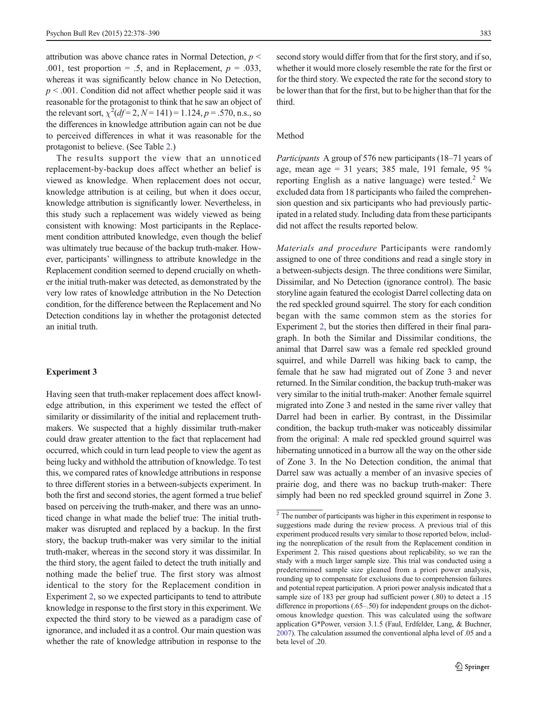<span id="page-5-0"></span>attribution was above chance rates in Normal Detection,  $p <$ .001, test proportion = .5, and in Replacement,  $p = .033$ , whereas it was significantly below chance in No Detection,  $p < .001$ . Condition did not affect whether people said it was reasonable for the protagonist to think that he saw an object of the relevant sort,  $\chi^2(df=2, N=141) = 1.124, p = .570, n.s.,$  so the differences in knowledge attribution again can not be due to perceived differences in what it was reasonable for the protagonist to believe. (See Table [2.](#page-4-0))

The results support the view that an unnoticed replacement-by-backup does affect whether an belief is viewed as knowledge. When replacement does not occur, knowledge attribution is at ceiling, but when it does occur, knowledge attribution is significantly lower. Nevertheless, in this study such a replacement was widely viewed as being consistent with knowing: Most participants in the Replacement condition attributed knowledge, even though the belief was ultimately true because of the backup truth-maker. However, participants' willingness to attribute knowledge in the Replacement condition seemed to depend crucially on whether the initial truth-maker was detected, as demonstrated by the very low rates of knowledge attribution in the No Detection condition, for the difference between the Replacement and No Detection conditions lay in whether the protagonist detected an initial truth.

#### Experiment 3

Having seen that truth-maker replacement does affect knowledge attribution, in this experiment we tested the effect of similarity or dissimilarity of the initial and replacement truthmakers. We suspected that a highly dissimilar truth-maker could draw greater attention to the fact that replacement had occurred, which could in turn lead people to view the agent as being lucky and withhold the attribution of knowledge. To test this, we compared rates of knowledge attributions in response to three different stories in a between-subjects experiment. In both the first and second stories, the agent formed a true belief based on perceiving the truth-maker, and there was an unnoticed change in what made the belief true: The initial truthmaker was disrupted and replaced by a backup. In the first story, the backup truth-maker was very similar to the initial truth-maker, whereas in the second story it was dissimilar. In the third story, the agent failed to detect the truth initially and nothing made the belief true. The first story was almost identical to the story for the Replacement condition in Experiment [2,](#page-3-0) so we expected participants to tend to attribute knowledge in response to the first story in this experiment. We expected the third story to be viewed as a paradigm case of ignorance, and included it as a control. Our main question was whether the rate of knowledge attribution in response to the

second story would differ from that for the first story, and if so, whether it would more closely resemble the rate for the first or for the third story. We expected the rate for the second story to be lower than that for the first, but to be higher than that for the third.

#### Method

Participants A group of 576 new participants (18–71 years of age, mean age = 31 years; 385 male, 191 female, 95 % reporting English as a native language) were tested.<sup>2</sup> We excluded data from 18 participants who failed the comprehension question and six participants who had previously participated in a related study. Including data from these participants did not affect the results reported below.

Materials and procedure Participants were randomly assigned to one of three conditions and read a single story in a between-subjects design. The three conditions were Similar, Dissimilar, and No Detection (ignorance control). The basic storyline again featured the ecologist Darrel collecting data on the red speckled ground squirrel. The story for each condition began with the same common stem as the stories for Experiment [2,](#page-3-0) but the stories then differed in their final paragraph. In both the Similar and Dissimilar conditions, the animal that Darrel saw was a female red speckled ground squirrel, and while Darrell was hiking back to camp, the female that he saw had migrated out of Zone 3 and never returned. In the Similar condition, the backup truth-maker was very similar to the initial truth-maker: Another female squirrel migrated into Zone 3 and nested in the same river valley that Darrel had been in earlier. By contrast, in the Dissimilar condition, the backup truth-maker was noticeably dissimilar from the original: A male red speckled ground squirrel was hibernating unnoticed in a burrow all the way on the other side of Zone 3. In the No Detection condition, the animal that Darrel saw was actually a member of an invasive species of prairie dog, and there was no backup truth-maker: There simply had been no red speckled ground squirrel in Zone 3.

<sup>2</sup> The number of participants was higher in this experiment in response to suggestions made during the review process. A previous trial of this experiment produced results very similar to those reported below, including the nonreplication of the result from the Replacement condition in Experiment 2. This raised questions about replicability, so we ran the study with a much larger sample size. This trial was conducted using a predetermined sample size gleaned from a priori power analysis, rounding up to compensate for exclusions due to comprehension failures and potential repeat participation. A priori power analysis indicated that a sample size of 183 per group had sufficient power (.80) to detect a .15 difference in proportions (.65–.50) for independent groups on the dichotomous knowledge question. This was calculated using the software application G\*Power, version 3.1.5 (Faul, Erdfelder, Lang, & Buchner, [2007\)](#page-11-0). The calculation assumed the conventional alpha level of .05 and a beta level of .20.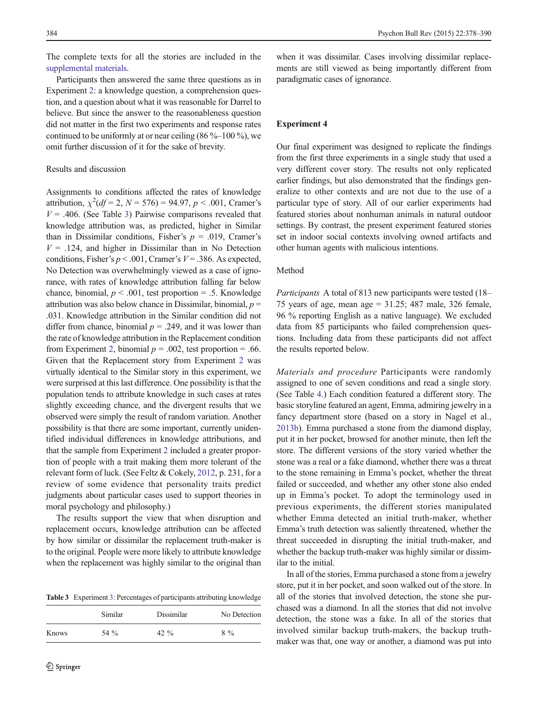<span id="page-6-0"></span>The complete texts for all the stories are included in the supplemental materials.

Participants then answered the same three questions as in Experiment [2:](#page-3-0) a knowledge question, a comprehension question, and a question about what it was reasonable for Darrel to believe. But since the answer to the reasonableness question did not matter in the first two experiments and response rates continued to be uniformly at or near ceiling  $(86\,\%-100\%)$ , we omit further discussion of it for the sake of brevity.

# Results and discussion

Assignments to conditions affected the rates of knowledge attribution,  $\chi^2(df = 2, N = 576) = 94.97, p < .001$ , Cramer's  $V = .406$ . (See Table 3) Pairwise comparisons revealed that knowledge attribution was, as predicted, higher in Similar than in Dissimilar conditions, Fisher's  $p = .019$ , Cramer's  $V = .124$ , and higher in Dissimilar than in No Detection conditions, Fisher's  $p < .001$ , Cramer's  $V = .386$ . As expected, No Detection was overwhelmingly viewed as a case of ignorance, with rates of knowledge attribution falling far below chance, binomial,  $p < .001$ , test proportion = .5. Knowledge attribution was also below chance in Dissimilar, binomial,  $p =$ .031. Knowledge attribution in the Similar condition did not differ from chance, binomial  $p = .249$ , and it was lower than the rate of knowledge attribution in the Replacement condition from Experiment [2](#page-3-0), binomial  $p = .002$ , test proportion = .66. Given that the Replacement story from Experiment [2](#page-3-0) was virtually identical to the Similar story in this experiment, we were surprised at this last difference. One possibility is that the population tends to attribute knowledge in such cases at rates slightly exceeding chance, and the divergent results that we observed were simply the result of random variation. Another possibility is that there are some important, currently unidentified individual differences in knowledge attributions, and that the sample from Experiment [2](#page-3-0) included a greater proportion of people with a trait making them more tolerant of the relevant form of luck. (See Feltz & Cokely, [2012](#page-11-0), p. 231, for a review of some evidence that personality traits predict judgments about particular cases used to support theories in moral psychology and philosophy.)

The results support the view that when disruption and replacement occurs, knowledge attribution can be affected by how similar or dissimilar the replacement truth-maker is to the original. People were more likely to attribute knowledge when the replacement was highly similar to the original than

Table 3 Experiment [3](#page-5-0): Percentages of participants attributing knowledge

|       | Similar | Dissimilar | No Detection |
|-------|---------|------------|--------------|
| Knows | 54 $\%$ | 42 %       | $8\%$        |

when it was dissimilar. Cases involving dissimilar replacements are still viewed as being importantly different from paradigmatic cases of ignorance.

# Experiment 4

Our final experiment was designed to replicate the findings from the first three experiments in a single study that used a very different cover story. The results not only replicated earlier findings, but also demonstrated that the findings generalize to other contexts and are not due to the use of a particular type of story. All of our earlier experiments had featured stories about nonhuman animals in natural outdoor settings. By contrast, the present experiment featured stories set in indoor social contexts involving owned artifacts and other human agents with malicious intentions.

# Method

Participants A total of 813 new participants were tested (18– 75 years of age, mean age = 31.25; 487 male, 326 female, 96 % reporting English as a native language). We excluded data from 85 participants who failed comprehension questions. Including data from these participants did not affect the results reported below.

Materials and procedure Participants were randomly assigned to one of seven conditions and read a single story. (See Table [4.](#page-7-0)) Each condition featured a different story. The basic storyline featured an agent, Emma, admiring jewelry in a fancy department store (based on a story in Nagel et al., [2013b\)](#page-11-0). Emma purchased a stone from the diamond display, put it in her pocket, browsed for another minute, then left the store. The different versions of the story varied whether the stone was a real or a fake diamond, whether there was a threat to the stone remaining in Emma's pocket, whether the threat failed or succeeded, and whether any other stone also ended up in Emma's pocket. To adopt the terminology used in previous experiments, the different stories manipulated whether Emma detected an initial truth-maker, whether Emma's truth detection was saliently threatened, whether the threat succeeded in disrupting the initial truth-maker, and whether the backup truth-maker was highly similar or dissimilar to the initial.

In all of the stories, Emma purchased a stone from a jewelry store, put it in her pocket, and soon walked out of the store. In all of the stories that involved detection, the stone she purchased was a diamond. In all the stories that did not involve detection, the stone was a fake. In all of the stories that involved similar backup truth-makers, the backup truthmaker was that, one way or another, a diamond was put into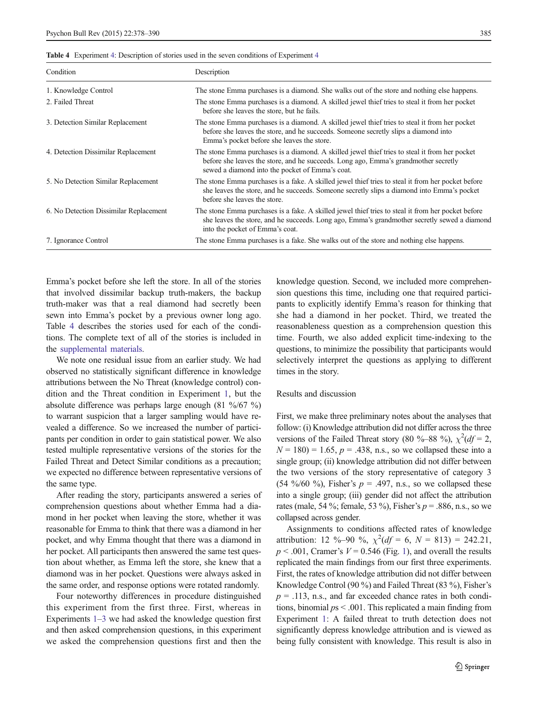<span id="page-7-0"></span>

| Condition                              | Description                                                                                                                                                                                                                              |
|----------------------------------------|------------------------------------------------------------------------------------------------------------------------------------------------------------------------------------------------------------------------------------------|
| 1. Knowledge Control                   | The stone Emma purchases is a diamond. She walks out of the store and nothing else happens.                                                                                                                                              |
| 2. Failed Threat                       | The stone Emma purchases is a diamond. A skilled jewel thief tries to steal it from her pocket<br>before she leaves the store, but he fails.                                                                                             |
| 3. Detection Similar Replacement       | The stone Emma purchases is a diamond. A skilled jewel thief tries to steal it from her pocket<br>before she leaves the store, and he succeeds. Someone secretly slips a diamond into<br>Emma's pocket before she leaves the store.      |
| 4. Detection Dissimilar Replacement    | The stone Emma purchases is a diamond. A skilled jewel thief tries to steal it from her pocket<br>before she leaves the store, and he succeeds. Long ago, Emma's grandmother secretly<br>sewed a diamond into the pocket of Emma's coat. |
| 5. No Detection Similar Replacement    | The stone Emma purchases is a fake. A skilled jewel thief tries to steal it from her pocket before<br>she leaves the store, and he succeeds. Someone secretly slips a diamond into Emma's pocket<br>before she leaves the store.         |
| 6. No Detection Dissimilar Replacement | The stone Emma purchases is a fake. A skilled jewel thief tries to steal it from her pocket before<br>she leaves the store, and he succeeds. Long ago, Emma's grandmother secretly sewed a diamond                                       |

into the pocket of Emma's coat. 7. Ignorance Control The stone Emma purchases is a fake. She walks out of the store and nothing else happens.

Emma's pocket before she left the store. In all of the stories that involved dissimilar backup truth-makers, the backup truth-maker was that a real diamond had secretly been sewn into Emma's pocket by a previous owner long ago. Table 4 describes the stories used for each of the conditions. The complete text of all of the stories is included in the supplemental materials.

We note one residual issue from an earlier study. We had observed no statistically significant difference in knowledge attributions between the No Threat (knowledge control) condition and the Threat condition in Experiment [1](#page-2-0), but the absolute difference was perhaps large enough (81 %/67 %) to warrant suspicion that a larger sampling would have revealed a difference. So we increased the number of participants per condition in order to gain statistical power. We also tested multiple representative versions of the stories for the Failed Threat and Detect Similar conditions as a precaution; we expected no difference between representative versions of the same type.

After reading the story, participants answered a series of comprehension questions about whether Emma had a diamond in her pocket when leaving the store, whether it was reasonable for Emma to think that there was a diamond in her pocket, and why Emma thought that there was a diamond in her pocket. All participants then answered the same test question about whether, as Emma left the store, she knew that a diamond was in her pocket. Questions were always asked in the same order, and response options were rotated randomly.

Four noteworthy differences in procedure distinguished this experiment from the first three. First, whereas in Experiments  $1-3$  $1-3$  $1-3$  we had asked the knowledge question first and then asked comprehension questions, in this experiment we asked the comprehension questions first and then the knowledge question. Second, we included more comprehension questions this time, including one that required participants to explicitly identify Emma's reason for thinking that she had a diamond in her pocket. Third, we treated the reasonableness question as a comprehension question this time. Fourth, we also added explicit time-indexing to the questions, to minimize the possibility that participants would selectively interpret the questions as applying to different times in the story.

# Results and discussion

First, we make three preliminary notes about the analyses that follow: (i) Knowledge attribution did not differ across the three versions of the Failed Threat story (80 %–88 %),  $\chi^2(df = 2$ ,  $N = 180$ ) = 1.65,  $p = .438$ , n.s., so we collapsed these into a single group; (ii) knowledge attribution did not differ between the two versions of the story representative of category 3 (54 %/60 %), Fisher's  $p = .497$ , n.s., so we collapsed these into a single group; (iii) gender did not affect the attribution rates (male, 54 %; female, 53 %), Fisher's  $p = .886$ , n.s., so we collapsed across gender.

Assignments to conditions affected rates of knowledge attribution: 12 %-90 %,  $\chi^2(df = 6, N = 813) = 242.21$ ,  $p < .001$  $p < .001$ , Cramer's  $V = 0.546$  (Fig. 1), and overall the results replicated the main findings from our first three experiments. First, the rates of knowledge attribution did not differ between Knowledge Control (90 %) and Failed Threat (83 %), Fisher's  $p = .113$ , n.s., and far exceeded chance rates in both conditions, binomial  $ps < .001$ . This replicated a main finding from Experiment [1:](#page-2-0) A failed threat to truth detection does not significantly depress knowledge attribution and is viewed as being fully consistent with knowledge. This result is also in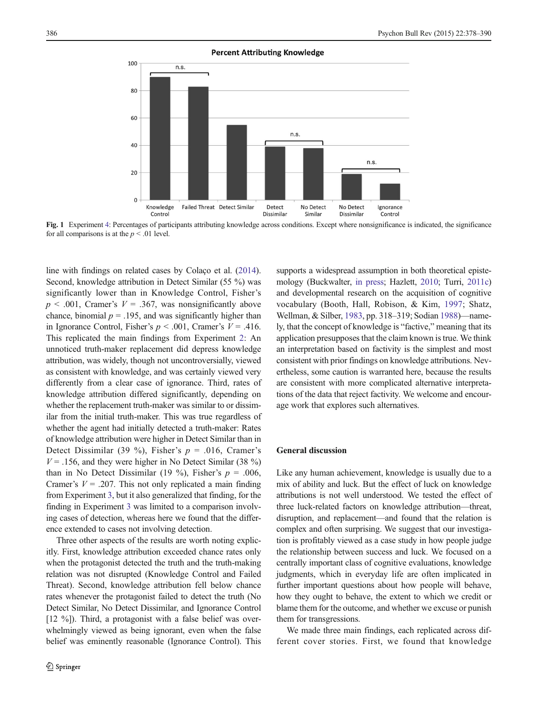<span id="page-8-0"></span>

Fig. 1 Experiment [4:](#page-6-0) Percentages of participants attributing knowledge across conditions. Except where nonsignificance is indicated, the significance for all comparisons is at the  $p < .01$  level.

line with findings on related cases by Colaço et al. [\(2014\)](#page-10-0). Second, knowledge attribution in Detect Similar (55 %) was significantly lower than in Knowledge Control, Fisher's  $p \leq 0.001$ , Cramer's  $V = 0.367$ , was nonsignificantly above chance, binomial  $p = 0.195$ , and was significantly higher than in Ignorance Control, Fisher's  $p < .001$ , Cramer's  $V = .416$ . This replicated the main findings from Experiment [2](#page-3-0): An unnoticed truth-maker replacement did depress knowledge attribution, was widely, though not uncontroversially, viewed as consistent with knowledge, and was certainly viewed very differently from a clear case of ignorance. Third, rates of knowledge attribution differed significantly, depending on whether the replacement truth-maker was similar to or dissimilar from the initial truth-maker. This was true regardless of whether the agent had initially detected a truth-maker: Rates of knowledge attribution were higher in Detect Similar than in Detect Dissimilar (39 %), Fisher's  $p = .016$ , Cramer's  $V = .156$ , and they were higher in No Detect Similar (38 %) than in No Detect Dissimilar (19 %), Fisher's  $p = .006$ , Cramer's  $V = .207$ . This not only replicated a main finding from Experiment [3](#page-5-0), but it also generalized that finding, for the finding in Experiment [3](#page-5-0) was limited to a comparison involving cases of detection, whereas here we found that the difference extended to cases not involving detection.

Three other aspects of the results are worth noting explicitly. First, knowledge attribution exceeded chance rates only when the protagonist detected the truth and the truth-making relation was not disrupted (Knowledge Control and Failed Threat). Second, knowledge attribution fell below chance rates whenever the protagonist failed to detect the truth (No Detect Similar, No Detect Dissimilar, and Ignorance Control [12 %]). Third, a protagonist with a false belief was overwhelmingly viewed as being ignorant, even when the false belief was eminently reasonable (Ignorance Control). This supports a widespread assumption in both theoretical epistemology (Buckwalter, [in press;](#page-10-0) Hazlett, [2010](#page-11-0); Turri, [2011c](#page-11-0)) and developmental research on the acquisition of cognitive vocabulary (Booth, Hall, Robison, & Kim, [1997](#page-10-0); Shatz, Wellman, & Silber, [1983](#page-11-0), pp. 318–319; Sodian [1988](#page-11-0))—namely, that the concept of knowledge is "factive," meaning that its application presupposes that the claim known is true. We think an interpretation based on factivity is the simplest and most consistent with prior findings on knowledge attributions. Nevertheless, some caution is warranted here, because the results are consistent with more complicated alternative interpretations of the data that reject factivity. We welcome and encourage work that explores such alternatives.

# General discussion

Like any human achievement, knowledge is usually due to a mix of ability and luck. But the effect of luck on knowledge attributions is not well understood. We tested the effect of three luck-related factors on knowledge attribution—threat, disruption, and replacement—and found that the relation is complex and often surprising. We suggest that our investigation is profitably viewed as a case study in how people judge the relationship between success and luck. We focused on a centrally important class of cognitive evaluations, knowledge judgments, which in everyday life are often implicated in further important questions about how people will behave, how they ought to behave, the extent to which we credit or blame them for the outcome, and whether we excuse or punish them for transgressions.

We made three main findings, each replicated across different cover stories. First, we found that knowledge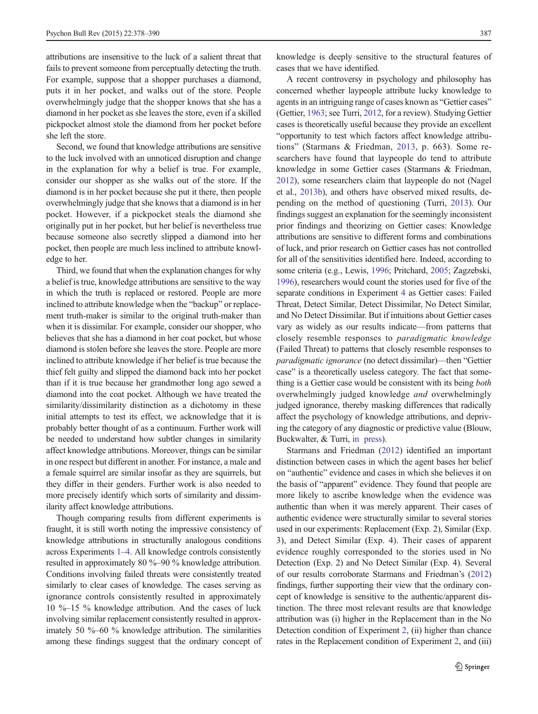attributions are insensitive to the luck of a salient threat that fails to prevent someone from perceptually detecting the truth. For example, suppose that a shopper purchases a diamond, puts it in her pocket, and walks out of the store. People overwhelmingly judge that the shopper knows that she has a diamond in her pocket as she leaves the store, even if a skilled pickpocket almost stole the diamond from her pocket before she left the store.

Second, we found that knowledge attributions are sensitive to the luck involved with an unnoticed disruption and change in the explanation for why a belief is true. For example, consider our shopper as she walks out of the store. If the diamond is in her pocket because she put it there, then people overwhelmingly judge that she knows that a diamond is in her pocket. However, if a pickpocket steals the diamond she originally put in her pocket, but her belief is nevertheless true because someone also secretly slipped a diamond into her pocket, then people are much less inclined to attribute knowledge to her.

Third, we found that when the explanation changes for why a belief is true, knowledge attributions are sensitive to the way in which the truth is replaced or restored. People are more inclined to attribute knowledge when the "backup" or replacement truth-maker is similar to the original truth-maker than when it is dissimilar. For example, consider our shopper, who believes that she has a diamond in her coat pocket, but whose diamond is stolen before she leaves the store. People are more inclined to attribute knowledge if her belief is true because the thief felt guilty and slipped the diamond back into her pocket than if it is true because her grandmother long ago sewed a diamond into the coat pocket. Although we have treated the similarity/dissimilarity distinction as a dichotomy in these initial attempts to test its effect, we acknowledge that it is probably better thought of as a continuum. Further work will be needed to understand how subtler changes in similarity affect knowledge attributions. Moreover, things can be similar in one respect but different in another. For instance, a male and a female squirrel are similar insofar as they are squirrels, but they differ in their genders. Further work is also needed to more precisely identify which sorts of similarity and dissimilarity affect knowledge attributions.

Though comparing results from different experiments is fraught, it is still worth noting the impressive consistency of knowledge attributions in structurally analogous conditions across Experiments [1](#page-2-0)–[4.](#page-6-0) All knowledge controls consistently resulted in approximately 80 %–90 % knowledge attribution. Conditions involving failed threats were consistently treated similarly to clear cases of knowledge. The cases serving as ignorance controls consistently resulted in approximately 10 %–15 % knowledge attribution. And the cases of luck involving similar replacement consistently resulted in approximately 50 %–60 % knowledge attribution. The similarities among these findings suggest that the ordinary concept of

knowledge is deeply sensitive to the structural features of cases that we have identified.

A recent controversy in psychology and philosophy has concerned whether laypeople attribute lucky knowledge to agents in an intriguing range of cases known as "Gettier cases" (Gettier, [1963;](#page-11-0) see Turri, [2012](#page-11-0), for a review). Studying Gettier cases is theoretically useful because they provide an excellent "opportunity to test which factors affect knowledge attributions" (Starmans & Friedman, [2013](#page-11-0), p. 663). Some researchers have found that laypeople do tend to attribute knowledge in some Gettier cases (Starmans & Friedman, [2012\)](#page-11-0), some researchers claim that laypeople do not (Nagel et al., [2013b\)](#page-11-0), and others have observed mixed results, depending on the method of questioning (Turri, [2013\)](#page-11-0). Our findings suggest an explanation for the seemingly inconsistent prior findings and theorizing on Gettier cases: Knowledge attributions are sensitive to different forms and combinations of luck, and prior research on Gettier cases has not controlled for all of the sensitivities identified here. Indeed, according to some criteria (e.g., Lewis, [1996;](#page-11-0) Pritchard, [2005](#page-11-0); Zagzebski, [1996\)](#page-12-0), researchers would count the stories used for five of the separate conditions in Experiment [4](#page-6-0) as Gettier cases: Failed Threat, Detect Similar, Detect Dissimilar, No Detect Similar, and No Detect Dissimilar. But if intuitions about Gettier cases vary as widely as our results indicate—from patterns that closely resemble responses to paradigmatic knowledge (Failed Threat) to patterns that closely resemble responses to paradigmatic ignorance (no detect dissimilar)—then "Gettier case" is a theoretically useless category. The fact that something is a Gettier case would be consistent with its being both overwhelmingly judged knowledge and overwhelmingly judged ignorance, thereby masking differences that radically affect the psychology of knowledge attributions, and depriving the category of any diagnostic or predictive value (Blouw, Buckwalter, & Turri, [in press\)](#page-10-0).

Starmans and Friedman ([2012\)](#page-11-0) identified an important distinction between cases in which the agent bases her belief on "authentic" evidence and cases in which she believes it on the basis of "apparent" evidence. They found that people are more likely to ascribe knowledge when the evidence was authentic than when it was merely apparent. Their cases of authentic evidence were structurally similar to several stories used in our experiments: Replacement (Exp. 2), Similar (Exp. 3), and Detect Similar (Exp. 4). Their cases of apparent evidence roughly corresponded to the stories used in No Detection (Exp. 2) and No Detect Similar (Exp. 4). Several of our results corroborate Starmans and Friedman's [\(2012](#page-11-0)) findings, further supporting their view that the ordinary concept of knowledge is sensitive to the authentic/apparent distinction. The three most relevant results are that knowledge attribution was (i) higher in the Replacement than in the No Detection condition of Experiment [2](#page-3-0), (ii) higher than chance rates in the Replacement condition of Experiment [2](#page-3-0), and (iii)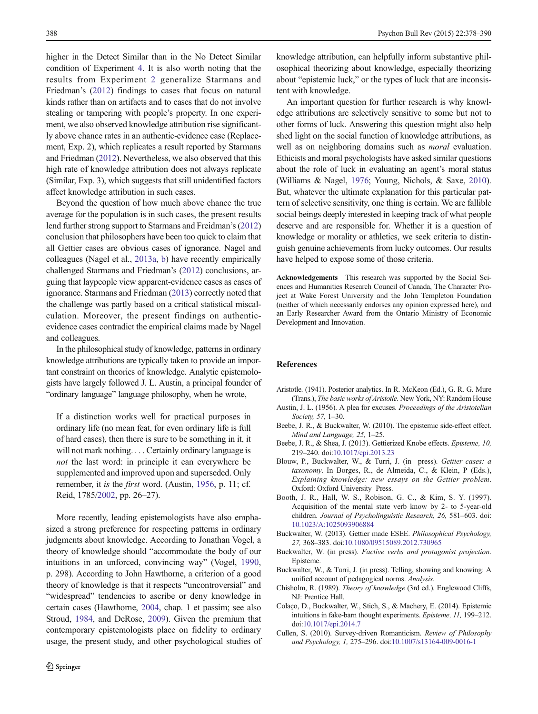<span id="page-10-0"></span>higher in the Detect Similar than in the No Detect Similar condition of Experiment [4.](#page-6-0) It is also worth noting that the results from Experiment [2](#page-3-0) generalize Starmans and Friedman's ([2012\)](#page-11-0) findings to cases that focus on natural kinds rather than on artifacts and to cases that do not involve stealing or tampering with people's property. In one experiment, we also observed knowledge attribution rise significantly above chance rates in an authentic-evidence case (Replacement, Exp. 2), which replicates a result reported by Starmans and Friedman [\(2012\)](#page-11-0). Nevertheless, we also observed that this high rate of knowledge attribution does not always replicate (Similar, Exp. 3), which suggests that still unidentified factors affect knowledge attribution in such cases.

Beyond the question of how much above chance the true average for the population is in such cases, the present results lend further strong support to Starmans and Freidman's [\(2012\)](#page-11-0) conclusion that philosophers have been too quick to claim that all Gettier cases are obvious cases of ignorance. Nagel and colleagues (Nagel et al., [2013a,](#page-11-0) [b](#page-11-0)) have recently empirically challenged Starmans and Friedman's ([2012](#page-11-0)) conclusions, arguing that laypeople view apparent-evidence cases as cases of ignorance. Starmans and Friedman [\(2013\)](#page-11-0) correctly noted that the challenge was partly based on a critical statistical miscalculation. Moreover, the present findings on authenticevidence cases contradict the empirical claims made by Nagel and colleagues.

In the philosophical study of knowledge, patterns in ordinary knowledge attributions are typically taken to provide an important constraint on theories of knowledge. Analytic epistemologists have largely followed J. L. Austin, a principal founder of "ordinary language" language philosophy, when he wrote,

If a distinction works well for practical purposes in ordinary life (no mean feat, for even ordinary life is full of hard cases), then there is sure to be something in it, it will not mark nothing. . . . Certainly ordinary language is not the last word: in principle it can everywhere be supplemented and improved upon and superseded. Only remember, it is the first word. (Austin, 1956, p. 11; cf. Reid, 1785[/2002,](#page-11-0) pp. 26–27).

More recently, leading epistemologists have also emphasized a strong preference for respecting patterns in ordinary judgments about knowledge. According to Jonathan Vogel, a theory of knowledge should "accommodate the body of our intuitions in an unforced, convincing way" (Vogel, [1990,](#page-11-0) p. 298). According to John Hawthorne, a criterion of a good theory of knowledge is that it respects "uncontroversial" and "widespread" tendencies to ascribe or deny knowledge in certain cases (Hawthorne, [2004,](#page-11-0) chap. 1 et passim; see also Stroud, [1984,](#page-11-0) and DeRose, [2009](#page-11-0)). Given the premium that contemporary epistemologists place on fidelity to ordinary usage, the present study, and other psychological studies of

knowledge attribution, can helpfully inform substantive philosophical theorizing about knowledge, especially theorizing about "epistemic luck," or the types of luck that are inconsistent with knowledge.

An important question for further research is why knowledge attributions are selectively sensitive to some but not to other forms of luck. Answering this question might also help shed light on the social function of knowledge attributions, as well as on neighboring domains such as *moral* evaluation. Ethicists and moral psychologists have asked similar questions about the role of luck in evaluating an agent's moral status (Williams & Nagel, [1976](#page-12-0); Young, Nichols, & Saxe, [2010\)](#page-12-0). But, whatever the ultimate explanation for this particular pattern of selective sensitivity, one thing is certain. We are fallible social beings deeply interested in keeping track of what people deserve and are responsible for. Whether it is a question of knowledge or morality or athletics, we seek criteria to distinguish genuine achievements from lucky outcomes. Our results have helped to expose some of those criteria.

Acknowledgements This research was supported by the Social Sciences and Humanities Research Council of Canada, The Character Project at Wake Forest University and the John Templeton Foundation (neither of which necessarily endorses any opinion expressed here), and an Early Researcher Award from the Ontario Ministry of Economic Development and Innovation.

# References

- Aristotle. (1941). Posterior analytics. In R. McKeon (Ed.), G. R. G. Mure (Trans.), The basic works of Aristotle. New York, NY: Random House
- Austin, J. L. (1956). A plea for excuses. Proceedings of the Aristotelian Society, 57, 1–30.
- Beebe, J. R., & Buckwalter, W. (2010). The epistemic side-effect effect. Mind and Language, 25, 1–25.
- Beebe, J. R., & Shea, J. (2013). Gettierized Knobe effects. Episteme, 10, 219–240. doi[:10.1017/epi.2013.23](http://dx.doi.org/10.1017/epi.2013.23)
- Blouw, P., Buckwalter, W., & Turri, J. (in press). Gettier cases: a taxonomy. In Borges, R., de Almeida, C., & Klein, P (Eds.), Explaining knowledge: new essays on the Gettier problem. Oxford: Oxford University Press.
- Booth, J. R., Hall, W. S., Robison, G. C., & Kim, S. Y. (1997). Acquisition of the mental state verb know by 2- to 5-year-old children. Journal of Psycholinguistic Research, 26, 581–603. doi: [10.1023/A:1025093906884](http://dx.doi.org/10.1023/A:1025093906884)
- Buckwalter, W. (2013). Gettier made ESEE. Philosophical Psychology, 27, 368–383. doi:[10.1080/09515089.2012.730965](http://dx.doi.org/10.1080/09515089.2012.730965)
- Buckwalter, W. (in press). Factive verbs and protagonist projection. Episteme.
- Buckwalter, W., & Turri, J. (in press). Telling, showing and knowing: A unified account of pedagogical norms. Analysis.
- Chisholm, R. (1989). Theory of knowledge (3rd ed.). Englewood Cliffs, NJ: Prentice Hall.
- Colaço, D., Buckwalter, W., Stich, S., & Machery, E. (2014). Epistemic intuitions in fake-barn thought experiments. Episteme, 11, 199–212. doi:[10.1017/epi.2014.7](http://dx.doi.org/10.1017/epi.2014.7)
- Cullen, S. (2010). Survey-driven Romanticism. Review of Philosophy and Psychology, 1, 275–296. doi:[10.1007/s13164-009-0016-1](http://dx.doi.org/10.1007/s13164-009-0016-1)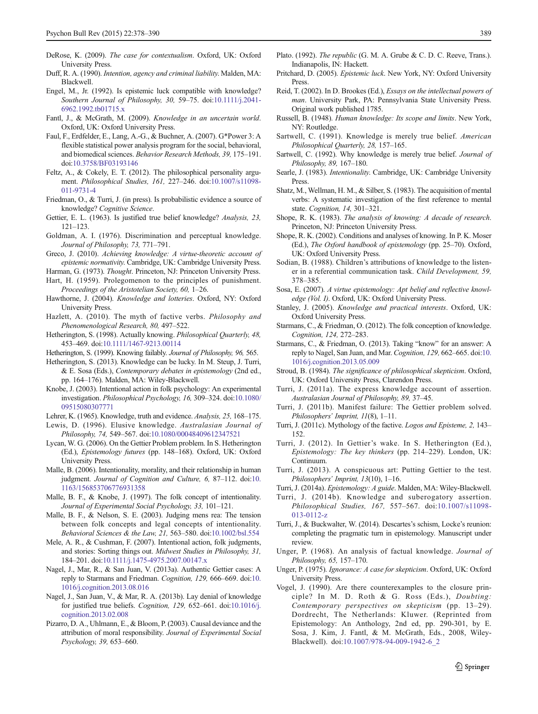- <span id="page-11-0"></span>DeRose, K. (2009). The case for contextualism. Oxford, UK: Oxford University Press.
- Duff, R. A. (1990). Intention, agency and criminal liability. Malden, MA: Blackwell.
- Engel, M., Jr. (1992). Is epistemic luck compatible with knowledge? Southern Journal of Philosophy, 30, 59–75. doi:[10.1111/j.2041-](http://dx.doi.org/10.1111/j.2041-6962.1992.tb01715.x) [6962.1992.tb01715.x](http://dx.doi.org/10.1111/j.2041-6962.1992.tb01715.x)
- Fantl, J., & McGrath, M. (2009). Knowledge in an uncertain world. Oxford, UK: Oxford University Press.
- Faul, F., Erdfelder, E., Lang, A.-G., & Buchner, A. (2007). G\*Power 3: A flexible statistical power analysis program for the social, behavioral, and biomedical sciences. Behavior Research Methods, 39, 175–191. doi:[10.3758/BF03193146](http://dx.doi.org/10.3758/BF03193146)
- Feltz, A., & Cokely, E. T. (2012). The philosophical personality argument. Philosophical Studies, 161, 227–246. doi:[10.1007/s11098-](http://dx.doi.org/10.1007/s11098-011-9731-4) [011-9731-4](http://dx.doi.org/10.1007/s11098-011-9731-4)
- Friedman, O., & Turri, J. (in press). Is probabilistic evidence a source of knowledge? Cognitive Science.
- Gettier, E. L. (1963). Is justified true belief knowledge? Analysis, 23, 121–123.
- Goldman, A. I. (1976). Discrimination and perceptual knowledge. Journal of Philosophy, 73, 771–791.
- Greco, J. (2010). Achieving knowledge: A virtue-theoretic account of epistemic normativity. Cambridge, UK: Cambridge University Press.
- Harman, G. (1973). Thought. Princeton, NJ: Princeton University Press.
- Hart, H. (1959). Prolegomenon to the principles of punishment. Proceedings of the Aristotelian Society, 60, 1–26.
- Hawthorne, J. (2004). Knowledge and lotteries. Oxford, NY: Oxford University Press.
- Hazlett, A. (2010). The myth of factive verbs. Philosophy and Phenomenological Research, 80, 497–522.
- Hetherington, S. (1998). Actually knowing. Philosophical Quarterly, 48, 453–469. doi[:10.1111/1467-9213.00114](http://dx.doi.org/10.1111/1467-9213.00114)
- Hetherington, S. (1999). Knowing failably. Journal of Philosophy, 96, 565.
- Hetherington, S. (2013). Knowledge can be lucky. In M. Steup, J. Turri, & E. Sosa (Eds.), Contemporary debates in epistemology (2nd ed., pp. 164–176). Malden, MA: Wiley-Blackwell.
- Knobe, J. (2003). Intentional action in folk psychology: An experimental investigation. Philosophical Psychology, 16, 309–324. doi[:10.1080/](http://dx.doi.org/10.1080/09515080307771) [09515080307771](http://dx.doi.org/10.1080/09515080307771)
- Lehrer, K. (1965). Knowledge, truth and evidence. Analysis, 25, 168–175.
- Lewis, D. (1996). Elusive knowledge. Australasian Journal of Philosophy, 74, 549–567. doi[:10.1080/00048409612347521](http://dx.doi.org/10.1080/00048409612347521)
- Lycan, W. G. (2006). On the Gettier Problem problem. In S. Hetherington (Ed.), Epistemology futures (pp. 148–168). Oxford, UK: Oxford University Press.
- Malle, B. (2006). Intentionality, morality, and their relationship in human judgment. Journal of Cognition and Culture, 6, 87–112. doi:[10.](http://dx.doi.org/10.1163/156853706776931358) [1163/156853706776931358](http://dx.doi.org/10.1163/156853706776931358)
- Malle, B. F., & Knobe, J. (1997). The folk concept of intentionality. Journal of Experimental Social Psychology, 33, 101–121.
- Malle, B. F., & Nelson, S. E. (2003). Judging mens rea: The tension between folk concepts and legal concepts of intentionality. Behavioral Sciences & the Law, 21, 563–580. doi[:10.1002/bsl.554](http://dx.doi.org/10.1002/bsl.554)
- Mele, A. R., & Cushman, F. (2007). Intentional action, folk judgments, and stories: Sorting things out. Midwest Studies in Philosophy, 31, 184–201. doi[:10.1111/j.1475-4975.2007.00147.x](http://dx.doi.org/10.1111/j.1475-4975.2007.00147.x)
- Nagel, J., Mar, R., & San Juan, V. (2013a). Authentic Gettier cases: A reply to Starmans and Friedman. Cognition, 129, 666–669. doi:[10.](http://dx.doi.org/10.1016/j.cognition.2013.08.016) [1016/j.cognition.2013.08.016](http://dx.doi.org/10.1016/j.cognition.2013.08.016)
- Nagel, J., San Juan, V., & Mar, R. A. (2013b). Lay denial of knowledge for justified true beliefs. Cognition, 129, 652–661. doi:[10.1016/j.](http://dx.doi.org/10.1016/j.cognition.2013.02.008) [cognition.2013.02.008](http://dx.doi.org/10.1016/j.cognition.2013.02.008)
- Pizarro, D. A., Uhlmann, E., & Bloom, P. (2003). Causal deviance and the attribution of moral responsibility. Journal of Experimental Social Psychology, 39, 653–660.
- Plato. (1992). The republic (G. M. A. Grube & C. D. C. Reeve, Trans.). Indianapolis, IN: Hackett.
- Pritchard, D. (2005). Epistemic luck. New York, NY: Oxford University Press.
- Reid, T. (2002). In D. Brookes (Ed.), Essays on the intellectual powers of man. University Park, PA: Pennsylvania State University Press. Original work published 1785.
- Russell, B. (1948). Human knowledge: Its scope and limits. New York, NY: Routledge.
- Sartwell, C. (1991). Knowledge is merely true belief. American Philosophical Quarterly, 28, 157–165.
- Sartwell, C. (1992). Why knowledge is merely true belief. Journal of Philosophy, 89, 167–180.
- Searle, J. (1983). Intentionality. Cambridge, UK: Cambridge University Press.
- Shatz, M., Wellman, H. M., & Silber, S. (1983). The acquisition of mental verbs: A systematic investigation of the first reference to mental state. Cognition, 14, 301–321.
- Shope, R. K. (1983). The analysis of knowing: A decade of research. Princeton, NJ: Princeton University Press.
- Shope, R. K. (2002). Conditions and analyses of knowing. In P. K. Moser (Ed.), The Oxford handbook of epistemology (pp. 25–70). Oxford, UK: Oxford University Press.
- Sodian, B. (1988). Children's attributions of knowledge to the listener in a referential communication task. Child Development, 59, 378–385.
- Sosa, E. (2007). A virtue epistemology: Apt belief and reflective knowledge (Vol. I). Oxford, UK: Oxford University Press.
- Stanley, J. (2005). Knowledge and practical interests. Oxford, UK: Oxford University Press.
- Starmans, C., & Friedman, O. (2012). The folk conception of knowledge. Cognition, 124, 272–283.
- Starmans, C., & Friedman, O. (2013). Taking "know" for an answer: A reply to Nagel, San Juan, and Mar. Cognition, 129, 662–665. doi[:10.](http://dx.doi.org/10.1016/j.cognition.2013.05.009) [1016/j.cognition.2013.05.009](http://dx.doi.org/10.1016/j.cognition.2013.05.009)
- Stroud, B. (1984). The significance of philosophical skepticism. Oxford, UK: Oxford University Press, Clarendon Press.
- Turri, J. (2011a). The express knowledge account of assertion. Australasian Journal of Philosophy, 89, 37–45.
- Turri, J. (2011b). Manifest failure: The Gettier problem solved. Philosophers' Imprint, 11(8), 1–11.
- Turri, J. (2011c). Mythology of the factive. Logos and Episteme, 2, 143– 152.
- Turri, J. (2012). In Gettier's wake. In S. Hetherington (Ed.), Epistemology: The key thinkers (pp. 214–229). London, UK: Continuum.
- Turri, J. (2013). A conspicuous art: Putting Gettier to the test. Philosophers' Imprint, 13(10), 1–16.
- Turri, J. (2014a). Epistemology: A guide. Malden, MA: Wiley-Blackwell.
- Turri, J. (2014b). Knowledge and suberogatory assertion. Philosophical Studies, 167, 557–567. doi[:10.1007/s11098-](http://dx.doi.org/10.1007/s11098-013-0112-z) [013-0112-z](http://dx.doi.org/10.1007/s11098-013-0112-z)
- Turri, J., & Buckwalter, W. (2014). Descartes's schism, Locke's reunion: completing the pragmatic turn in epistemology. Manuscript under review.
- Unger, P. (1968). An analysis of factual knowledge. Journal of Philosophy, 65, 157–170.
- Unger, P. (1975). Ignorance: A case for skepticism. Oxford, UK: Oxford University Press.
- Vogel, J. (1990). Are there counterexamples to the closure principle? In M. D. Roth & G. Ross (Eds.), Doubting: Contemporary perspectives on skepticism (pp. 13–29). Dordrecht, The Netherlands: Kluwer. (Reprinted from Epistemology: An Anthology, 2nd ed, pp. 290-301, by E. Sosa, J. Kim, J. Fantl, & M. McGrath, Eds., 2008, Wiley-Blackwell). doi[:10.1007/978-94-009-1942-6\\_2](http://dx.doi.org/10.1007/978-94-009-1942-6_2)